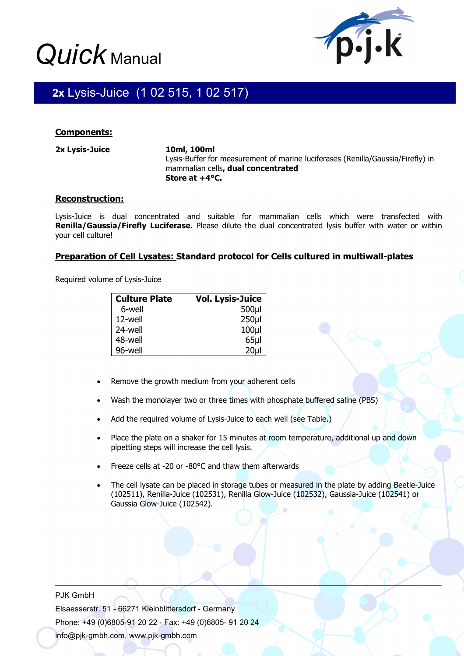# *Quick* Manual



### , I **2x** Lysis-Juice (1 02 515, 1 02 517)

# **Components:**

532)

**2x Lysis-Juice 10ml, 100ml** 

Lysis-Buffer for measurement of marine luciferases (Renilla/Gaussia/Firefly) in mammalian cells**, dual concentrated Store at +4°C.** 

# **Reconstruction:**

Lysis-Juice is dual concentrated and suitable for mammalian cells which were transfected with **Renilla/Gaussia/Firefly Luciferase.** Please dilute the dual concentrated lysis buffer with water or within your cell culture!

# **Preparation of Cell Lysates: Standard protocol for Cells cultured in multiwall-plates**

Required volume of Lysis-Juice

| <b>Culture Plate</b> | <b>Vol. Lysis-Juice</b> |
|----------------------|-------------------------|
| 6-well               | 500µl                   |
| 12-well              | 250 <sub>µ</sub>        |
| 24-well              | 100 <sub>µ</sub>        |
| 48-well              | $65$ µl                 |
| 96-well              | 20 <sub>U</sub>         |

- Remove the growth medium from your adherent cells
- Wash the monolayer two or three times with phosphate buffered saline (PBS)
- Add the required volume of Lysis-Juice to each well (see Table.)
- Place the plate on a shaker for 15 minutes at room temperature, additional up and down pipetting steps will increase the cell lysis.
- Freeze cells at -20 or -80°C and thaw them afterwards
- The cell lysate can be placed in storage tubes or measured in the plate by adding Beetle-Juice (102511), Renilla-Juice (102531), Renilla Glow-Juice (102532), Gaussia-Juice (102541) or Gaussia Glow-Juice (102542).

 $\Box$ 

Elsaesserstr. 51 - 66271 Kleinblittersdorf - Germany Phone: +49 (0)6805-91 20 22 - Fax: +49 (0)6805- 91 20 24 info@pjk-gmbh.com, www.pjk-gmbh.com

PJK GmbH